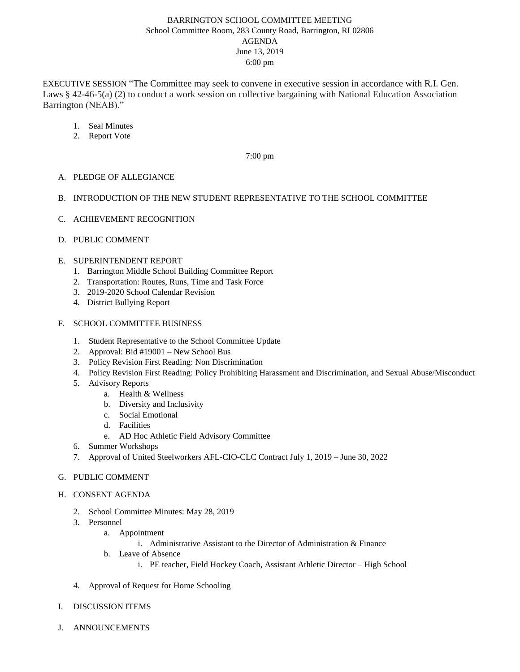# BARRINGTON SCHOOL COMMITTEE MEETING School Committee Room, 283 County Road, Barrington, RI 02806 AGENDA June 13, 2019 6:00 pm

EXECUTIVE SESSION "The Committee may seek to convene in executive session in accordance with R.I. Gen. Laws § 42-46-5(a) (2) to conduct a work session on collective bargaining with National Education Association Barrington (NEAB)."

- 1. Seal Minutes
- 2. Report Vote

## 7:00 pm

## A. PLEDGE OF ALLEGIANCE

## B. INTRODUCTION OF THE NEW STUDENT REPRESENTATIVE TO THE SCHOOL COMMITTEE

- C. ACHIEVEMENT RECOGNITION
- D. PUBLIC COMMENT

## E. SUPERINTENDENT REPORT

- 1. Barrington Middle School Building Committee Report
- 2. Transportation: Routes, Runs, Time and Task Force
- 3. 2019-2020 School Calendar Revision
- 4. District Bullying Report

#### F. SCHOOL COMMITTEE BUSINESS

- 1. Student Representative to the School Committee Update
- 2. Approval: Bid #19001 New School Bus
- 3. Policy Revision First Reading: Non Discrimination
- 4. Policy Revision First Reading: Policy Prohibiting Harassment and Discrimination, and Sexual Abuse/Misconduct
- 5. Advisory Reports
	- a. Health & Wellness
	- b. Diversity and Inclusivity
	- c. Social Emotional
	- d. Facilities
	- e. AD Hoc Athletic Field Advisory Committee
- 6. Summer Workshops
- 7. Approval of United Steelworkers AFL-CIO-CLC Contract July 1, 2019 June 30, 2022

#### G. PUBLIC COMMENT

- H. CONSENT AGENDA
	- 2. School Committee Minutes: May 28, 2019
	- 3. Personnel
		- a. Appointment
			- i. Administrative Assistant to the Director of Administration & Finance
		- b. Leave of Absence
			- i. PE teacher, Field Hockey Coach, Assistant Athletic Director High School
	- 4. Approval of Request for Home Schooling
- I. DISCUSSION ITEMS
- J. ANNOUNCEMENTS